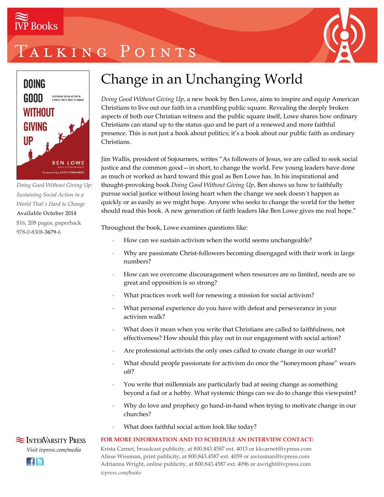# ALKING POINTS





*Doing Good Without Giving Up: Sustaining Social Action in a World That's Hard to Change* **Available October 2014** \$16, 208 pages, paperback 978-0-8308-**3679**-6

## Change in an Unchanging World

*Doing Good Without Giving Up*, a new book by Ben Lowe, aims to inspire and equip American Christians to live out our faith in a crumbling public square. Revealing the deeply broken aspects of both our Christian witness and the public square itself, Lowe shares how ordinary Christians can stand up to the status quo and be part of a renewed and more faithful presence. This is not just a book about politics; it's a book about our public faith as ordinary Christians.

Jim Wallis, president of Sojourners, writes "As followers of Jesus, we are called to seek social justice and the common good—in short, to change the world. Few young leaders have done as much or worked as hard toward this goal as Ben Lowe has. In his inspirational and thought-provoking book *Doing Good Without Giving Up*, Ben shows us how to faithfully pursue social justice without losing heart when the change we seek doesn´t happen as quickly or as easily as we might hope. Anyone who seeks to change the world for the better should read this book. A new generation of faith leaders like Ben Lowe gives me real hope."

Throughout the book, Lowe examines questions like:

- ∙ How can we sustain activism when the world seems unchangeable?
- ∙ Why are passionate Christ-followers becoming disengaged with their work in large numbers?
- ∙ How can we overcome discouragement when resources are so limited, needs are so great and opposition is so strong?
- What practices work well for renewing a mission for social activism?
- ∙ What personal experience do you have with defeat and perseverance in your activism walk?
- ∙ What does it mean when you write that Christians are called to faithfulness, not effectiveness? How should this play out in our engagement with social action?
- ∙ Are professional activists the only ones called to create change in our world?
- ∙ What should people passionate for activism do once the "honeymoon phase" wears off?
- ∙ You write that millennials are particularly bad at seeing change as something beyond a fad or a hobby. What systemic things can we do to change this viewpoint?
- ∙ Why do love and prophecy go hand-in-hand when trying to motivate change in our churches?
	- ∙ What does faithful social action look like today?

### **FOR MORE INFORMATION AND TO SCHEDULE AN INTERVIEW CONTACT:**

Krista Carnet, broadcast publicity, at 800.843.4587 ext. 4013 or kkcarnet@ivpress.com Alisse Wissman, print publicity, at 800.843.4587 ext. 4059 or awissman@ivpress.com Adrianna Wright, online publicity, at 800.843.4587 ext. 4096 or awright@ivpress.com *ivpress.com/books*

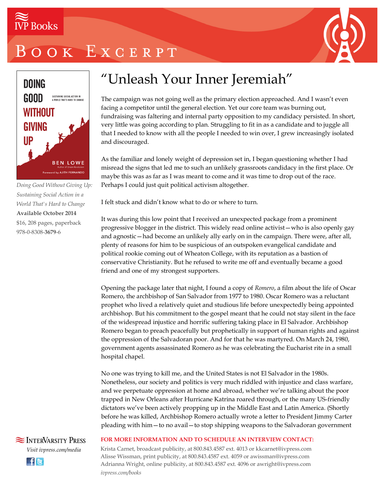# OOK EXCERPT



*Doing Good Without Giving Up: Sustaining Social Action in a World That's Hard to Change* **Available October 2014** \$16, 208 pages, paperback 978-0-8308-**3679**-6

## "Unleash Your Inner Jeremiah"

The campaign was not going well as the primary election approached. And I wasn't even facing a competitor until the general election. Yet our core team was burning out, fundraising was faltering and internal party opposition to my candidacy persisted. In short, very little was going according to plan. Struggling to fit in as a candidate and to juggle all that I needed to know with all the people I needed to win over, I grew increasingly isolated and discouraged.

As the familiar and lonely weight of depression set in, I began questioning whether I had misread the signs that led me to such an unlikely grassroots candidacy in the first place. Or maybe this was as far as I was meant to come and it was time to drop out of the race. Perhaps I could just quit political activism altogether.

I felt stuck and didn't know what to do or where to turn.

It was during this low point that I received an unexpected package from a prominent progressive blogger in the district. This widely read online activist—who is also openly gay and agnostic—had become an unlikely ally early on in the campaign. There were, after all, plenty of reasons for him to be suspicious of an outspoken evangelical candidate and political rookie coming out of Wheaton College, with its reputation as a bastion of conservative Christianity. But he refused to write me off and eventually became a good friend and one of my strongest supporters.

Opening the package later that night, I found a copy of *Romero*, a film about the life of Oscar Romero, the archbishop of San Salvador from 1977 to 1980. Oscar Romero was a reluctant prophet who lived a relatively quiet and studious life before unexpectedly being appointed archbishop. But his commitment to the gospel meant that he could not stay silent in the face of the widespread injustice and horrific suffering taking place in El Salvador. Archbishop Romero began to preach peacefully but prophetically in support of human rights and against the oppression of the Salvadoran poor. And for that he was martyred. On March 24, 1980, government agents assassinated Romero as he was celebrating the Eucharist rite in a small hospital chapel.

No one was trying to kill me, and the United States is not El Salvador in the 1980s. Nonetheless, our society and politics is very much riddled with injustice and class warfare, and we perpetuate oppression at home and abroad, whether we're talking about the poor trapped in New Orleans after Hurricane Katrina roared through, or the many US-friendly dictators we've been actively propping up in the Middle East and Latin America. (Shortly before he was killed, Archbishop Romero actually wrote a letter to President Jimmy Carter pleading with him—to no avail—to stop shipping weapons to the Salvadoran government

**SEX INTERVARSITY PRESS** *Visit ivpress.com/media* **Ele** 

### **FOR MORE INFORMATION AND TO SCHEDULE AN INTERVIEW CONTACT:**

Krista Carnet, broadcast publicity, at 800.843.4587 ext. 4013 or kkcarnet@ivpress.com Alisse Wissman, print publicity, at 800.843.4587 ext. 4059 or awissman@ivpress.com Adrianna Wright, online publicity, at 800.843.4587 ext. 4096 or awright@ivpress.com *ivpress.com/books*